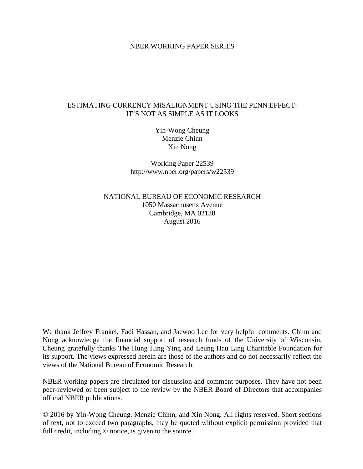### NBER WORKING PAPER SERIES

### ESTIMATING CURRENCY MISALIGNMENT USING THE PENN EFFECT: IT'S NOT AS SIMPLE AS IT LOOKS

Yin-Wong Cheung Menzie Chinn Xin Nong

Working Paper 22539 http://www.nber.org/papers/w22539

NATIONAL BUREAU OF ECONOMIC RESEARCH 1050 Massachusetts Avenue Cambridge, MA 02138 August 2016

We thank Jeffrey Frankel, Fadi Hassan, and Jaewoo Lee for very helpful comments. Chinn and Nong acknowledge the financial support of research funds of the University of Wisconsin. Cheung gratefully thanks The Hung Hing Ying and Leung Hau Ling Charitable Foundation for its support. The views expressed herein are those of the authors and do not necessarily reflect the views of the National Bureau of Economic Research.

NBER working papers are circulated for discussion and comment purposes. They have not been peer-reviewed or been subject to the review by the NBER Board of Directors that accompanies official NBER publications.

© 2016 by Yin-Wong Cheung, Menzie Chinn, and Xin Nong. All rights reserved. Short sections of text, not to exceed two paragraphs, may be quoted without explicit permission provided that full credit, including © notice, is given to the source.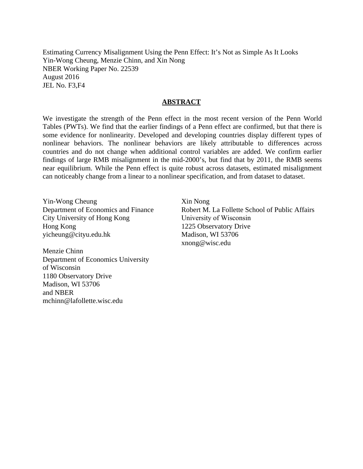Estimating Currency Misalignment Using the Penn Effect: It's Not as Simple As It Looks Yin-Wong Cheung, Menzie Chinn, and Xin Nong NBER Working Paper No. 22539 August 2016 JEL No. F3,F4

### **ABSTRACT**

We investigate the strength of the Penn effect in the most recent version of the Penn World Tables (PWTs). We find that the earlier findings of a Penn effect are confirmed, but that there is some evidence for nonlinearity. Developed and developing countries display different types of nonlinear behaviors. The nonlinear behaviors are likely attributable to differences across countries and do not change when additional control variables are added. We confirm earlier findings of large RMB misalignment in the mid-2000's, but find that by 2011, the RMB seems near equilibrium. While the Penn effect is quite robust across datasets, estimated misalignment can noticeably change from a linear to a nonlinear specification, and from dataset to dataset.

Yin-Wong Cheung Department of Economics and Finance City University of Hong Kong Hong Kong yicheung@cityu.edu.hk

Menzie Chinn Department of Economics University of Wisconsin 1180 Observatory Drive Madison, WI 53706 and NBER mchinn@lafollette.wisc.edu

Xin Nong Robert M. La Follette School of Public Affairs University of Wisconsin 1225 Observatory Drive Madison, WI 53706 xnong@wisc.edu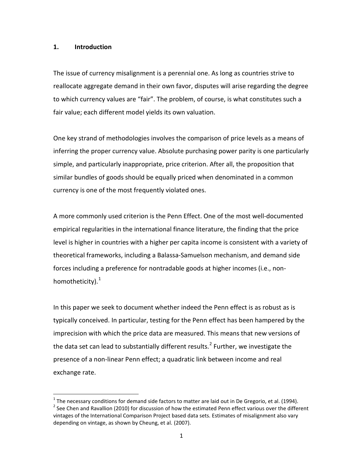#### **1. Introduction**

l

The issue of currency misalignment is a perennial one. As long as countries strive to reallocate aggregate demand in their own favor, disputes will arise regarding the degree to which currency values are "fair". The problem, of course, is what constitutes such a fair value; each different model yields its own valuation.

One key strand of methodologies involves the comparison of price levels as a means of inferring the proper currency value. Absolute purchasing power parity is one particularly simple, and particularly inappropriate, price criterion. After all, the proposition that similar bundles of goods should be equally priced when denominated in a common currency is one of the most frequently violated ones.

A more commonly used criterion is the Penn Effect. One of the most well-documented empirical regularities in the international finance literature, the finding that the price level is higher in countries with a higher per capita income is consistent with a variety of theoretical frameworks, including a Balassa-Samuelson mechanism, and demand side forces including a preference for nontradable goods at higher incomes (i.e., nonhomotheticity). $^{1}$  $^{1}$  $^{1}$ 

In this paper we seek to document whether indeed the Penn effect is as robust as is typically conceived. In particular, testing for the Penn effect has been hampered by the imprecision with which the price data are measured. This means that new versions of the data set can lead to substantially different results.<sup>[2](#page-2-1)</sup> Further, we investigate the presence of a non-linear Penn effect; a quadratic link between income and real exchange rate.

<span id="page-2-1"></span><span id="page-2-0"></span> $1$  The necessary conditions for demand side factors to matter are laid out in De Gregorio, et al. (1994).  $2$  See Chen and Ravallion (2010) for discussion of how the estimated Penn effect various over the different vintages of the International Comparison Project based data sets. Estimates of misalignment also vary depending on vintage, as shown by Cheung, et al. (2007).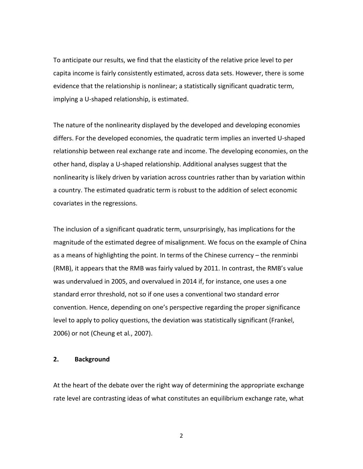To anticipate our results, we find that the elasticity of the relative price level to per capita income is fairly consistently estimated, across data sets. However, there is some evidence that the relationship is nonlinear; a statistically significant quadratic term, implying a U-shaped relationship, is estimated.

The nature of the nonlinearity displayed by the developed and developing economies differs. For the developed economies, the quadratic term implies an inverted U-shaped relationship between real exchange rate and income. The developing economies, on the other hand, display a U-shaped relationship. Additional analyses suggest that the nonlinearity is likely driven by variation across countries rather than by variation within a country. The estimated quadratic term is robust to the addition of select economic covariates in the regressions.

The inclusion of a significant quadratic term, unsurprisingly, has implications for the magnitude of the estimated degree of misalignment. We focus on the example of China as a means of highlighting the point. In terms of the Chinese currency – the renminbi (RMB), it appears that the RMB was fairly valued by 2011. In contrast, the RMB's value was undervalued in 2005, and overvalued in 2014 if, for instance, one uses a one standard error threshold, not so if one uses a conventional two standard error convention. Hence, depending on one's perspective regarding the proper significance level to apply to policy questions, the deviation was statistically significant (Frankel, 2006) or not (Cheung et al*.*, 2007).

#### **2. Background**

At the heart of the debate over the right way of determining the appropriate exchange rate level are contrasting ideas of what constitutes an equilibrium exchange rate, what

2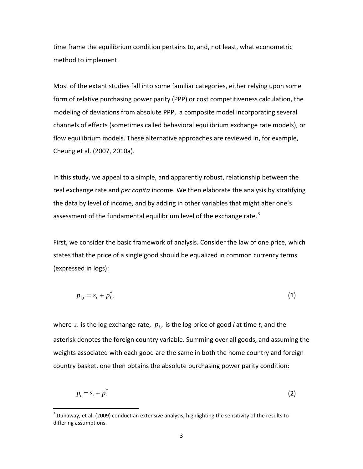time frame the equilibrium condition pertains to, and, not least, what econometric method to implement.

Most of the extant studies fall into some familiar categories, either relying upon some form of relative purchasing power parity (PPP) or cost competitiveness calculation, the modeling of deviations from absolute PPP, a composite model incorporating several channels of effects (sometimes called behavioral equilibrium exchange rate models), or flow equilibrium models. These alternative approaches are reviewed in, for example, Cheung et al. (2007, 2010a).

In this study, we appeal to a simple, and apparently robust, relationship between the real exchange rate and *per capita* income. We then elaborate the analysis by stratifying the data by level of income, and by adding in other variables that might alter one's assessment of the fundamental equilibrium level of the exchange rate.<sup>[3](#page-4-0)</sup>

First, we consider the basic framework of analysis. Consider the law of one price, which states that the price of a single good should be equalized in common currency terms (expressed in logs):

$$
p_{i,t} = s_t + p_{i,t}^* \tag{1}
$$

where  $s_t$  is the log exchange rate,  $p_{i,t}$  is the log price of good *i* at time *t*, and the asterisk denotes the foreign country variable. Summing over all goods, and assuming the weights associated with each good are the same in both the home country and foreign country basket, one then obtains the absolute purchasing power parity condition:

$$
p_t = s_t + p_t^* \tag{2}
$$

 $\overline{\phantom{a}}$ 

<span id="page-4-0"></span> $3$  Dunaway, et al. (2009) conduct an extensive analysis, highlighting the sensitivity of the results to differing assumptions.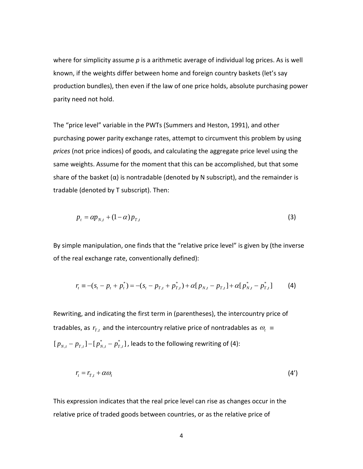where for simplicity assume *p* is a arithmetic average of individual log prices. As is well known, if the weights differ between home and foreign country baskets (let's say production bundles), then even if the law of one price holds, absolute purchasing power parity need not hold.

The "price level" variable in the PWTs (Summers and Heston, 1991), and other purchasing power parity exchange rates, attempt to circumvent this problem by using *prices* (not price indices) of goods, and calculating the aggregate price level using the same weights. Assume for the moment that this can be accomplished, but that some share of the basket  $(\alpha)$  is nontradable (denoted by N subscript), and the remainder is tradable (denoted by T subscript). Then:

$$
p_t = \alpha p_{N,t} + (1 - \alpha) p_{T,t} \tag{3}
$$

By simple manipulation, one finds that the "relative price level" is given by (the inverse of the real exchange rate, conventionally defined):

$$
r_{t} \equiv -(s_{t} - p_{t} + p_{t}^{*}) = -(s_{t} - p_{T,t} + p_{T,t}^{*}) + \alpha [p_{N,t} - p_{T,t}] + \alpha [p_{N,t}^{*} - p_{T,t}^{*}] \tag{4}
$$

Rewriting, and indicating the first term in (parentheses), the intercountry price of tradables, as  $r_{T,t}$  and the intercountry relative price of nontradables as  $\omega_t =$  $[p_{N,t} - p_{T,t}] - [p_{N,t}^* - p_{T,t}^*]$  $p_{_{N,t}} - p_{_{T,t}} \rbrack - \lbrack p_{_{N,t}}^* - p_{_{T,t}}^* \rbrack$  , leads to the following rewriting of (4):

$$
r_t = r_{T,t} + \alpha \omega_t \tag{4'}
$$

This expression indicates that the real price level can rise as changes occur in the relative price of traded goods between countries, or as the relative price of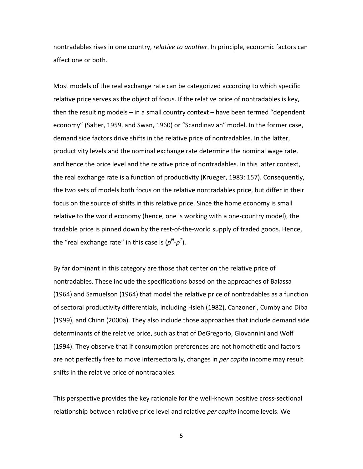nontradables rises in one country, *relative to another*. In principle, economic factors can affect one or both.

Most models of the real exchange rate can be categorized according to which specific relative price serves as the object of focus. If the relative price of nontradables is key, then the resulting models – in a small country context – have been termed "dependent economy" (Salter, 1959, and Swan, 1960) or "Scandinavian" model. In the former case, demand side factors drive shifts in the relative price of nontradables. In the latter, productivity levels and the nominal exchange rate determine the nominal wage rate, and hence the price level and the relative price of nontradables. In this latter context, the real exchange rate is a function of productivity (Krueger, 1983: 157). Consequently, the two sets of models both focus on the relative nontradables price, but differ in their focus on the source of shifts in this relative price. Since the home economy is small relative to the world economy (hence, one is working with a one-country model), the tradable price is pinned down by the rest-of-the-world supply of traded goods. Hence, the "real exchange rate" in this case is ( $p^N$ - $p^7$ ).

By far dominant in this category are those that center on the relative price of nontradables. These include the specifications based on the approaches of Balassa (1964) and Samuelson (1964) that model the relative price of nontradables as a function of sectoral productivity differentials, including Hsieh (1982), Canzoneri, Cumby and Diba (1999), and Chinn (2000a). They also include those approaches that include demand side determinants of the relative price, such as that of DeGregorio, Giovannini and Wolf (1994). They observe that if consumption preferences are not homothetic and factors are not perfectly free to move intersectorally, changes in *per capita* income may result shifts in the relative price of nontradables.

This perspective provides the key rationale for the well-known positive cross-sectional relationship between relative price level and relative *per capita* income levels. We

5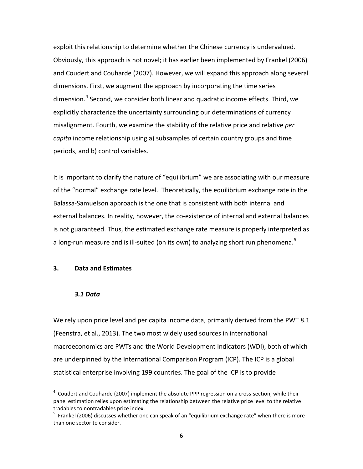exploit this relationship to determine whether the Chinese currency is undervalued. Obviously, this approach is not novel; it has earlier been implemented by Frankel (2006) and Coudert and Couharde (2007). However, we will expand this approach along several dimensions. First, we augment the approach by incorporating the time series dimension.<sup>[4](#page-7-0)</sup> Second, we consider both linear and quadratic income effects. Third, we explicitly characterize the uncertainty surrounding our determinations of currency misalignment. Fourth, we examine the stability of the relative price and relative *per capita* income relationship using a) subsamples of certain country groups and time periods, and b) control variables.

It is important to clarify the nature of "equilibrium" we are associating with our measure of the "normal" exchange rate level. Theoretically, the equilibrium exchange rate in the Balassa-Samuelson approach is the one that is consistent with both internal and external balances. In reality, however, the co-existence of internal and external balances is not guaranteed. Thus, the estimated exchange rate measure is properly interpreted as a long-run measure and is ill-suited (on its own) to analyzing short run phenomena.<sup>[5](#page-7-1)</sup>

#### **3. Data and Estimates**

#### *3.1 Data*

 $\overline{\phantom{a}}$ 

We rely upon price level and per capita income data, primarily derived from the PWT 8.1 (Feenstra, et al., 2013). The two most widely used sources in international macroeconomics are PWTs and the World Development Indicators (WDI), both of which are underpinned by the International Comparison Program (ICP). The ICP is a global statistical enterprise involving 199 countries. The goal of the ICP is to provide

<span id="page-7-0"></span> $4$  Coudert and Couharde (2007) implement the absolute PPP regression on a cross-section, while their panel estimation relies upon estimating the relationship between the relative price level to the relative tradables to nontradables price index.

<span id="page-7-1"></span><sup>&</sup>lt;sup>5</sup> Frankel (2006) discusses whether one can speak of an "equilibrium exchange rate" when there is more than one sector to consider.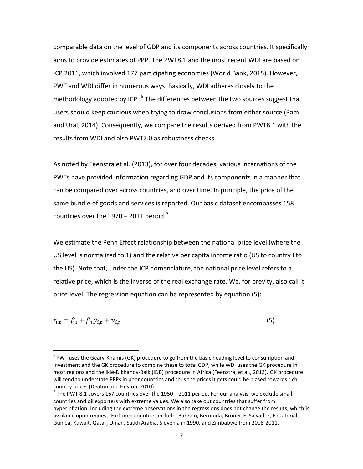comparable data on the level of GDP and its components across countries. It specifically aims to provide estimates of PPP. The PWT8.1 and the most recent WDI are based on ICP 2011, which involved 177 participating economies (World Bank, 2015). However, PWT and WDI differ in numerous ways. Basically, WDI adheres closely to the methodology adopted by ICP.  $^6$  $^6$  The differences between the two sources suggest that users should keep cautious when trying to draw conclusions from either source (Ram and Ural, 2014). Consequently, we compare the results derived from PWT8.1 with the results from WDI and also PWT7.0 as robustness checks.

As noted by Feenstra et al. (2013), for over four decades, various incarnations of the PWTs have provided information regarding GDP and its components in a manner that can be compared over across countries, and over time. In principle, the price of the same bundle of goods and services is reported. Our basic dataset encompasses 158 countries over the  $1970 - 2011$  $1970 - 2011$  $1970 - 2011$  period.<sup>7</sup>

We estimate the Penn Effect relationship between the national price level (where the US level is normalized to 1) and the relative per capita income ratio ( $\overline{US}$  to country I to the US). Note that, under the ICP nomenclature, the national price level refers to a relative price, which is the inverse of the real exchange rate. We, for brevity, also call it price level. The regression equation can be represented by equation (5):

$$
r_{i,t} = \beta_0 + \beta_1 y_{i,t} + u_{i,t} \tag{5}
$$

l

<span id="page-8-0"></span> $6$  PWT uses the Geary-Khamis (GK) procedure to go from the basic heading level to consumption and investment and the GK procedure to combine these to total GDP, while WDI uses the GK procedure in most regions and the Iklé-Dikhanov-Balk (IDB) procedure in Africa (Feenstra, et al., 2013). GK procedure will tend to understate PPPs in poor countries and thus the prices it gets could be biased towards rich country prices (Deaton and Heston, 2010).<br><sup>7</sup> The PWT 8.1 covers 167 countries over the 1950 – 2011 period. For our analysis, we exclude small

<span id="page-8-1"></span>countries and oil exporters with extreme values. We also take out countries that suffer from hyperinflation. Including the extreme observations in the regressions does not change the results, which is available upon request. Excluded countries include: Bahrain, Bermuda, Brunei, El Salvador, Equatorial Guinea, Kuwait, Qatar, Oman, Saudi Arabia, Slovenia in 1990, and Zimbabwe from 2008-2011.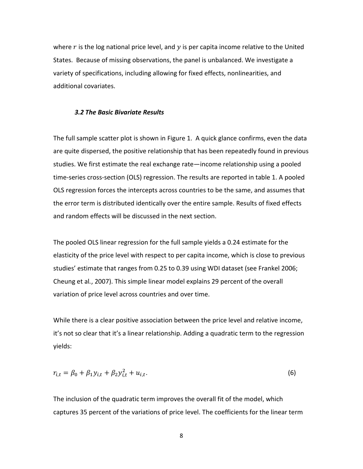where  $r$  is the log national price level, and  $y$  is per capita income relative to the United States. Because of missing observations, the panel is unbalanced. We investigate a variety of specifications, including allowing for fixed effects, nonlinearities, and additional covariates.

#### *3.2 The Basic Bivariate Results*

The full sample scatter plot is shown in Figure 1. A quick glance confirms, even the data are quite dispersed, the positive relationship that has been repeatedly found in previous studies. We first estimate the real exchange rate—income relationship using a pooled time-series cross-section (OLS) regression. The results are reported in table 1. A pooled OLS regression forces the intercepts across countries to be the same, and assumes that the error term is distributed identically over the entire sample. Results of fixed effects and random effects will be discussed in the next section.

The pooled OLS linear regression for the full sample yields a 0.24 estimate for the elasticity of the price level with respect to per capita income, which is close to previous studies' estimate that ranges from 0.25 to 0.39 using WDI dataset (see Frankel 2006; Cheung et al*.*, 2007). This simple linear model explains 29 percent of the overall variation of price level across countries and over time.

While there is a clear positive association between the price level and relative income, it's not so clear that it's a linear relationship. Adding a quadratic term to the regression yields:

$$
r_{i,t} = \beta_0 + \beta_1 y_{i,t} + \beta_2 y_{i,t}^2 + u_{i,t}.
$$
 (6)

The inclusion of the quadratic term improves the overall fit of the model, which captures 35 percent of the variations of price level. The coefficients for the linear term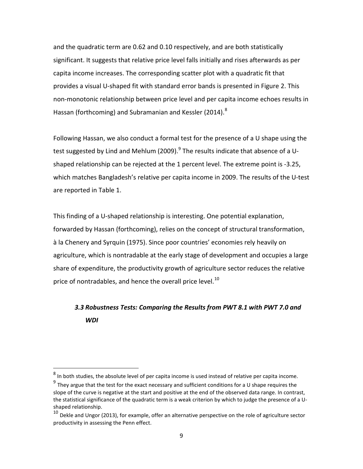and the quadratic term are 0.62 and 0.10 respectively, and are both statistically significant. It suggests that relative price level falls initially and rises afterwards as per capita income increases. The corresponding scatter plot with a quadratic fit that provides a visual U-shaped fit with standard error bands is presented in Figure 2. This non-monotonic relationship between price level and per capita income echoes results in Hassan (forthcoming) and Subramanian and Kessler (2014).<sup>[8](#page-10-0)</sup>

Following Hassan, we also conduct a formal test for the presence of a U shape using the test suggested by Lind and Mehlum (200[9](#page-10-1)). $^9$  The results indicate that absence of a Ushaped relationship can be rejected at the 1 percent level. The extreme point is -3.25, which matches Bangladesh's relative per capita income in 2009. The results of the U-test are reported in Table 1.

This finding of a U-shaped relationship is interesting. One potential explanation, forwarded by Hassan (forthcoming), relies on the concept of structural transformation, à la Chenery and Syrquin (1975). Since poor countries' economies rely heavily on agriculture, which is nontradable at the early stage of development and occupies a large share of expenditure, the productivity growth of agriculture sector reduces the relative price of nontradables, and hence the overall price level.<sup>10</sup>

# *3.3 Robustness Tests: Comparing the Results from PWT 8.1 with PWT 7.0 and WDI*

l

<span id="page-10-0"></span> $^8$  In both studies, the absolute level of per capita income is used instead of relative per capita income.

<span id="page-10-1"></span> $9$  They argue that the test for the exact necessary and sufficient conditions for a U shape requires the slope of the curve is negative at the start and positive at the end of the observed data range. In contrast, the statistical significance of the quadratic term is a weak criterion by which to judge the presence of a Ushaped relationship.

<span id="page-10-2"></span> $10$  Dekle and Ungor (2013), for example, offer an alternative perspective on the role of agriculture sector productivity in assessing the Penn effect.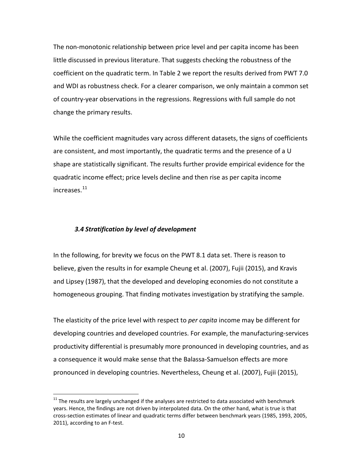The non-monotonic relationship between price level and per capita income has been little discussed in previous literature. That suggests checking the robustness of the coefficient on the quadratic term. In Table 2 we report the results derived from PWT 7.0 and WDI as robustness check. For a clearer comparison, we only maintain a common set of country-year observations in the regressions. Regressions with full sample do not change the primary results.

While the coefficient magnitudes vary across different datasets, the signs of coefficients are consistent, and most importantly, the quadratic terms and the presence of a U shape are statistically significant. The results further provide empirical evidence for the quadratic income effect; price levels decline and then rise as per capita income increases.[11](#page-11-0)

#### *3.4 Stratification by level of development*

l

In the following, for brevity we focus on the PWT 8.1 data set. There is reason to believe, given the results in for example Cheung et al. (2007), Fujii (2015), and Kravis and Lipsey (1987), that the developed and developing economies do not constitute a homogeneous grouping. That finding motivates investigation by stratifying the sample.

The elasticity of the price level with respect to *per capita* income may be different for developing countries and developed countries. For example, the manufacturing-services productivity differential is presumably more pronounced in developing countries, and as a consequence it would make sense that the Balassa-Samuelson effects are more pronounced in developing countries. Nevertheless, Cheung et al. (2007), Fujii (2015),

<span id="page-11-0"></span> $11$  The results are largely unchanged if the analyses are restricted to data associated with benchmark years. Hence, the findings are not driven by interpolated data. On the other hand, what is true is that cross-section estimates of linear and quadratic terms differ between benchmark years (1985, 1993, 2005, 2011), according to an F-test.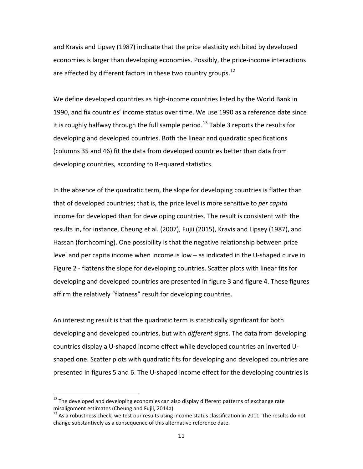and Kravis and Lipsey (1987) indicate that the price elasticity exhibited by developed economies is larger than developing economies. Possibly, the price-income interactions are affected by different factors in these two country groups.<sup>12</sup>

We define developed countries as high-income countries listed by the World Bank in 1990, and fix countries' income status over time. We use 1990 as a reference date since it is roughly halfway through the full sample period.<sup>[13](#page-12-1)</sup> Table 3 reports the results for developing and developed countries. Both the linear and quadratic specifications (columns 35 and 46) fit the data from developed countries better than data from developing countries, according to R-squared statistics.

In the absence of the quadratic term, the slope for developing countries is flatter than that of developed countries; that is, the price level is more sensitive to *per capita* income for developed than for developing countries. The result is consistent with the results in, for instance, Cheung et al. (2007), Fujii (2015), Kravis and Lipsey (1987), and Hassan (forthcoming). One possibility is that the negative relationship between price level and per capita income when income is low – as indicated in the U-shaped curve in Figure 2 - flattens the slope for developing countries. Scatter plots with linear fits for developing and developed countries are presented in figure 3 and figure 4. These figures affirm the relatively "flatness" result for developing countries.

An interesting result is that the quadratic term is statistically significant for both developing and developed countries, but with *different* signs. The data from developing countries display a U-shaped income effect while developed countries an inverted Ushaped one. Scatter plots with quadratic fits for developing and developed countries are presented in figures 5 and 6. The U-shaped income effect for the developing countries is

l

<span id="page-12-0"></span> $12$  The developed and developing economies can also display different patterns of exchange rate misalignment estimates (Cheung and Fujii, 2014a).

<span id="page-12-1"></span> $13$  As a robustness check, we test our results using income status classification in 2011. The results do not change substantively as a consequence of this alternative reference date.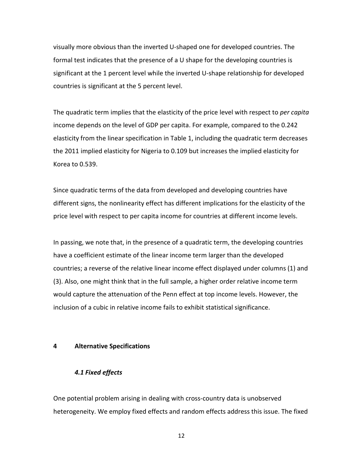visually more obvious than the inverted U-shaped one for developed countries. The formal test indicates that the presence of a U shape for the developing countries is significant at the 1 percent level while the inverted U-shape relationship for developed countries is significant at the 5 percent level.

The quadratic term implies that the elasticity of the price level with respect to *per capita* income depends on the level of GDP per capita. For example, compared to the 0.242 elasticity from the linear specification in Table 1, including the quadratic term decreases the 2011 implied elasticity for Nigeria to 0.109 but increases the implied elasticity for Korea to 0.539.

Since quadratic terms of the data from developed and developing countries have different signs, the nonlinearity effect has different implications for the elasticity of the price level with respect to per capita income for countries at different income levels.

In passing, we note that, in the presence of a quadratic term, the developing countries have a coefficient estimate of the linear income term larger than the developed countries; a reverse of the relative linear income effect displayed under columns (1) and (3). Also, one might think that in the full sample, a higher order relative income term would capture the attenuation of the Penn effect at top income levels. However, the inclusion of a cubic in relative income fails to exhibit statistical significance.

#### **4 Alternative Specifications**

### *4.1 Fixed effects*

One potential problem arising in dealing with cross-country data is unobserved heterogeneity. We employ fixed effects and random effects address this issue. The fixed

12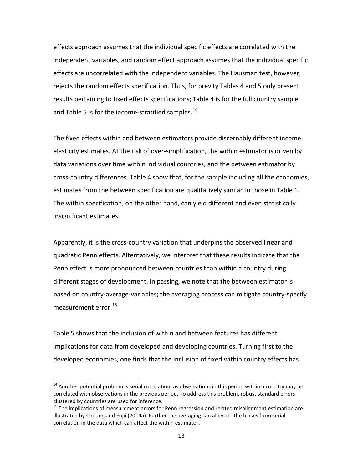effects approach assumes that the individual specific effects are correlated with the independent variables, and random effect approach assumes that the individual specific effects are uncorrelated with the independent variables. The Hausman test, however, rejects the random effects specification. Thus, for brevity Tables 4 and 5 only present results pertaining to fixed effects specifications; Table 4 is for the full country sample and Table 5 is for the income-stratified samples.<sup>[14](#page-14-0)</sup>

The fixed effects within and between estimators provide discernably different income elasticity estimates. At the risk of over-simplification, the within estimator is driven by data variations over time within individual countries, and the between estimator by cross-country differences. Table 4 show that, for the sample including all the economies, estimates from the between specification are qualitatively similar to those in Table 1. The within specification, on the other hand, can yield different and even statistically insignificant estimates.

Apparently, it is the cross-country variation that underpins the observed linear and quadratic Penn effects. Alternatively, we interpret that these results indicate that the Penn effect is more pronounced between countries than within a country during different stages of development. In passing, we note that the between estimator is based on country-average-variables; the averaging process can mitigate country-specify measurement error.<sup>15</sup>

Table 5 shows that the inclusion of within and between features has different implications for data from developed and developing countries. Turning first to the developed economies, one finds that the inclusion of fixed within country effects has

l

<span id="page-14-0"></span> $14$  Another potential problem is serial correlation, as observations in this period within a country may be correlated with observations in the previous period. To address this problem, robust standard errors clustered by countries are used for inference.<br><sup>15</sup> The implications of measurement errors for Penn regression and related misalignment estimation are

<span id="page-14-1"></span>illustrated by Cheung and Fujii (2014a). Further the averaging can alleviate the biases from serial correlation in the data which can affect the within estimator.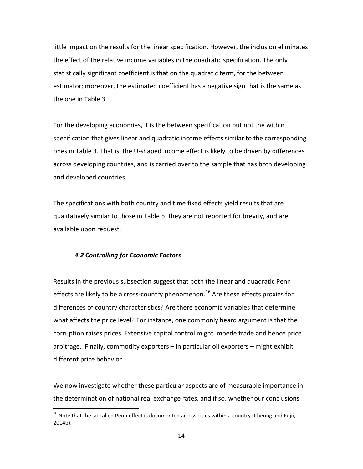little impact on the results for the linear specification. However, the inclusion eliminates the effect of the relative income variables in the quadratic specification. The only statistically significant coefficient is that on the quadratic term, for the between estimator; moreover, the estimated coefficient has a negative sign that is the same as the one in Table 3.

For the developing economies, it is the between specification but not the within specification that gives linear and quadratic income effects similar to the corresponding ones in Table 3. That is, the U-shaped income effect is likely to be driven by differences across developing countries, and is carried over to the sample that has both developing and developed countries.

The specifications with both country and time fixed effects yield results that are qualitatively similar to those in Table 5; they are not reported for brevity, and are available upon request.

### *4.2 Controlling for Economic Factors*

 $\overline{\phantom{a}}$ 

Results in the previous subsection suggest that both the linear and quadratic Penn effects are likely to be a cross-country phenomenon.<sup>[16](#page-15-0)</sup> Are these effects proxies for differences of country characteristics? Are there economic variables that determine what affects the price level? For instance, one commonly heard argument is that the corruption raises prices. Extensive capital control might impede trade and hence price arbitrage. Finally, commodity exporters – in particular oil exporters – might exhibit different price behavior.

We now investigate whether these particular aspects are of measurable importance in the determination of national real exchange rates, and if so, whether our conclusions

<span id="page-15-0"></span> $^{16}$  Note that the so-called Penn effect is documented across cities within a country (Cheung and Fujii, 2014b).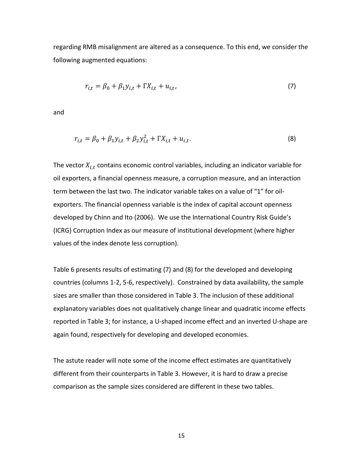regarding RMB misalignment are altered as a consequence. To this end, we consider the following augmented equations:

$$
r_{i,t} = \beta_0 + \beta_1 y_{i,t} + \Gamma X_{i,t} + u_{i,t},
$$
\n(7)

and

$$
r_{i,t} = \beta_0 + \beta_1 y_{i,t} + \beta_2 y_{i,t}^2 + \Gamma X_{i,t} + u_{i,t}.
$$
 (8)

The vector  $X_{i,t}$  contains economic control variables, including an indicator variable for oil exporters, a financial openness measure, a corruption measure, and an interaction term between the last two. The indicator variable takes on a value of "1" for oilexporters. The financial openness variable is the index of capital account openness developed by Chinn and Ito (2006). We use the International Country Risk Guide's (ICRG) Corruption Index as our measure of institutional development (where higher values of the index denote less corruption).

Table 6 presents results of estimating (7) and (8) for the developed and developing countries (columns 1-2, 5-6, respectively). Constrained by data availability, the sample sizes are smaller than those considered in Table 3. The inclusion of these additional explanatory variables does not qualitatively change linear and quadratic income effects reported in Table 3; for instance, a U-shaped income effect and an inverted U-shape are again found, respectively for developing and developed economies.

The astute reader will note some of the income effect estimates are quantitatively different from their counterparts in Table 3. However, it is hard to draw a precise comparison as the sample sizes considered are different in these two tables.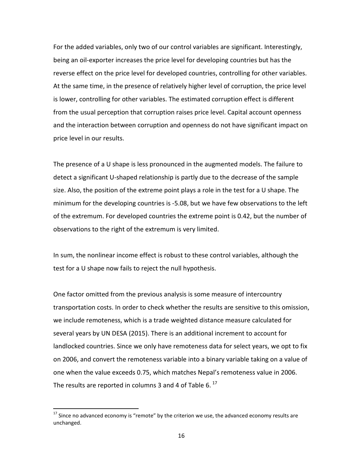For the added variables, only two of our control variables are significant. Interestingly, being an oil-exporter increases the price level for developing countries but has the reverse effect on the price level for developed countries, controlling for other variables. At the same time, in the presence of relatively higher level of corruption, the price level is lower, controlling for other variables. The estimated corruption effect is different from the usual perception that corruption raises price level. Capital account openness and the interaction between corruption and openness do not have significant impact on price level in our results.

The presence of a U shape is less pronounced in the augmented models. The failure to detect a significant U-shaped relationship is partly due to the decrease of the sample size. Also, the position of the extreme point plays a role in the test for a U shape. The minimum for the developing countries is -5.08, but we have few observations to the left of the extremum. For developed countries the extreme point is 0.42, but the number of observations to the right of the extremum is very limited.

In sum, the nonlinear income effect is robust to these control variables, although the test for a U shape now fails to reject the null hypothesis.

One factor omitted from the previous analysis is some measure of intercountry transportation costs. In order to check whether the results are sensitive to this omission, we include remoteness, which is a trade weighted distance measure calculated for several years by UN DESA (2015). There is an additional increment to account for landlocked countries. Since we only have remoteness data for select years, we opt to fix on 2006, and convert the remoteness variable into a binary variable taking on a value of one when the value exceeds 0.75, which matches Nepal's remoteness value in 2006. The results are reported in columns 3 and 4 of Table 6. $^{17}$  $^{17}$  $^{17}$ 

 $\overline{\phantom{a}}$ 

<span id="page-17-0"></span> $^{17}$  Since no advanced economy is "remote" by the criterion we use, the advanced economy results are unchanged.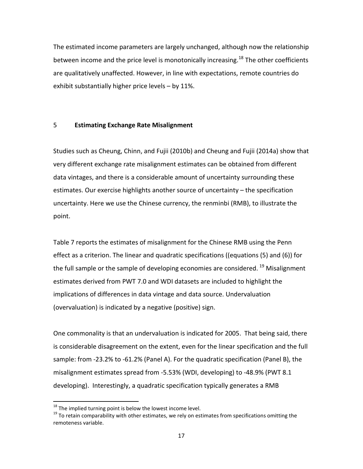The estimated income parameters are largely unchanged, although now the relationship between income and the price level is monotonically increasing.<sup>[18](#page-18-0)</sup> The other coefficients are qualitatively unaffected. However, in line with expectations, remote countries do exhibit substantially higher price levels – by 11%.

### 5 **Estimating Exchange Rate Misalignment**

Studies such as Cheung, Chinn, and Fujii (2010b) and Cheung and Fujii (2014a) show that very different exchange rate misalignment estimates can be obtained from different data vintages, and there is a considerable amount of uncertainty surrounding these estimates. Our exercise highlights another source of uncertainty – the specification uncertainty. Here we use the Chinese currency, the renminbi (RMB), to illustrate the point.

Table 7 reports the estimates of misalignment for the Chinese RMB using the Penn effect as a criterion. The linear and quadratic specifications ((equations (5) and (6)) for the full sample or the sample of developing economies are considered. <sup>[19](#page-18-1)</sup> Misalignment estimates derived from PWT 7.0 and WDI datasets are included to highlight the implications of differences in data vintage and data source. Undervaluation (overvaluation) is indicated by a negative (positive) sign.

One commonality is that an undervaluation is indicated for 2005. That being said, there is considerable disagreement on the extent, even for the linear specification and the full sample: from -23.2% to -61.2% (Panel A). For the quadratic specification (Panel B), the misalignment estimates spread from -5.53% (WDI, developing) to -48.9% (PWT 8.1 developing). Interestingly, a quadratic specification typically generates a RMB

<span id="page-18-0"></span><sup>&</sup>lt;sup>18</sup> The implied turning point is below the lowest income level.

<span id="page-18-1"></span> $19$  To retain comparability with other estimates, we rely on estimates from specifications omitting the remoteness variable.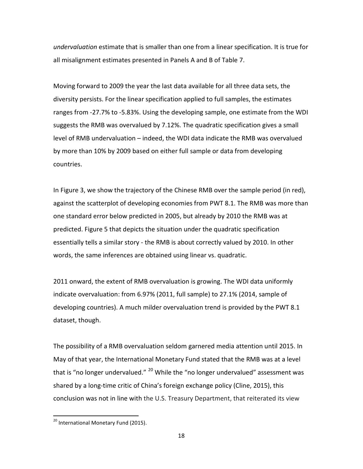*undervaluation* estimate that is smaller than one from a linear specification. It is true for all misalignment estimates presented in Panels A and B of Table 7.

Moving forward to 2009 the year the last data available for all three data sets, the diversity persists. For the linear specification applied to full samples, the estimates ranges from -27.7% to -5.83%. Using the developing sample, one estimate from the WDI suggests the RMB was overvalued by 7.12%. The quadratic specification gives a small level of RMB undervaluation – indeed, the WDI data indicate the RMB was overvalued by more than 10% by 2009 based on either full sample or data from developing countries.

In Figure 3, we show the trajectory of the Chinese RMB over the sample period (in red), against the scatterplot of developing economies from PWT 8.1. The RMB was more than one standard error below predicted in 2005, but already by 2010 the RMB was at predicted. Figure 5 that depicts the situation under the quadratic specification essentially tells a similar story - the RMB is about correctly valued by 2010. In other words, the same inferences are obtained using linear vs. quadratic.

2011 onward, the extent of RMB overvaluation is growing. The WDI data uniformly indicate overvaluation: from 6.97% (2011, full sample) to 27.1% (2014, sample of developing countries). A much milder overvaluation trend is provided by the PWT 8.1 dataset, though.

The possibility of a RMB overvaluation seldom garnered media attention until 2015. In May of that year, the International Monetary Fund stated that the RMB was at a level that is "no longer undervalued." <sup>[20](#page-19-0)</sup> While the "no longer undervalued" assessment was shared by a long-time critic of China's foreign exchange policy (Cline, 2015), this conclusion was not in line with the U.S. Treasury Department, that reiterated its view

 $\overline{a}$ 

<span id="page-19-0"></span><sup>&</sup>lt;sup>20</sup> International Monetary Fund (2015).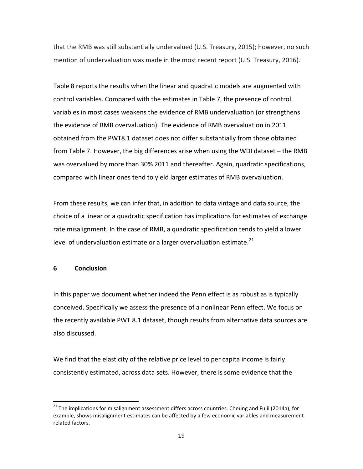that the RMB was still substantially undervalued (U.S. Treasury, 2015); however, no such mention of undervaluation was made in the most recent report (U.S. Treasury, 2016).

Table 8 reports the results when the linear and quadratic models are augmented with control variables. Compared with the estimates in Table 7, the presence of control variables in most cases weakens the evidence of RMB undervaluation (or strengthens the evidence of RMB overvaluation). The evidence of RMB overvaluation in 2011 obtained from the PWT8.1 dataset does not differ substantially from those obtained from Table 7. However, the big differences arise when using the WDI dataset – the RMB was overvalued by more than 30% 2011 and thereafter. Again, quadratic specifications, compared with linear ones tend to yield larger estimates of RMB overvaluation.

From these results, we can infer that, in addition to data vintage and data source, the choice of a linear or a quadratic specification has implications for estimates of exchange rate misalignment. In the case of RMB, a quadratic specification tends to yield a lower level of undervaluation estimate or a larger overvaluation estimate.<sup>[21](#page-20-0)</sup>

### **6 Conclusion**

 $\overline{a}$ 

In this paper we document whether indeed the Penn effect is as robust as is typically conceived. Specifically we assess the presence of a nonlinear Penn effect. We focus on the recently available PWT 8.1 dataset, though results from alternative data sources are also discussed.

We find that the elasticity of the relative price level to per capita income is fairly consistently estimated, across data sets. However, there is some evidence that the

<span id="page-20-0"></span> $21$  The implications for misalignment assessment differs across countries. Cheung and Fujii (2014a), for example, shows misalignment estimates can be affected by a few economic variables and measurement related factors.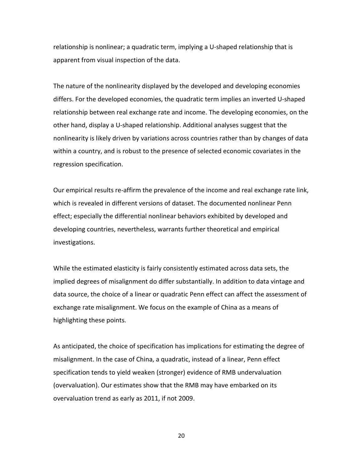relationship is nonlinear; a quadratic term, implying a U-shaped relationship that is apparent from visual inspection of the data.

The nature of the nonlinearity displayed by the developed and developing economies differs. For the developed economies, the quadratic term implies an inverted U-shaped relationship between real exchange rate and income. The developing economies, on the other hand, display a U-shaped relationship. Additional analyses suggest that the nonlinearity is likely driven by variations across countries rather than by changes of data within a country, and is robust to the presence of selected economic covariates in the regression specification.

Our empirical results re-affirm the prevalence of the income and real exchange rate link, which is revealed in different versions of dataset. The documented nonlinear Penn effect; especially the differential nonlinear behaviors exhibited by developed and developing countries, nevertheless, warrants further theoretical and empirical investigations.

While the estimated elasticity is fairly consistently estimated across data sets, the implied degrees of misalignment do differ substantially. In addition to data vintage and data source, the choice of a linear or quadratic Penn effect can affect the assessment of exchange rate misalignment. We focus on the example of China as a means of highlighting these points.

As anticipated, the choice of specification has implications for estimating the degree of misalignment. In the case of China, a quadratic, instead of a linear, Penn effect specification tends to yield weaken (stronger) evidence of RMB undervaluation (overvaluation). Our estimates show that the RMB may have embarked on its overvaluation trend as early as 2011, if not 2009.

20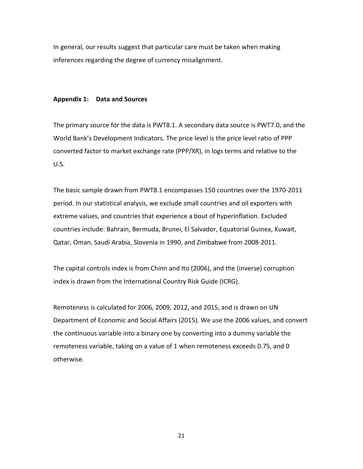In general, our results suggest that particular care must be taken when making inferences regarding the degree of currency misalignment.

#### **Appendix 1: Data and Sources**

The primary source for the data is PWT8.1. A secondary data source is PWT7.0, and the World Bank's Development Indicators. The price level is the price level ratio of PPP converted factor to market exchange rate (PPP/XR), in logs terms and relative to the U.S.

The basic sample drawn from PWT8.1 encompasses 150 countries over the 1970-2011 period. In our statistical analysis, we exclude small countries and oil exporters with extreme values, and countries that experience a bout of hyperinflation. Excluded countries include: Bahrain, Bermuda, Brunei, El Salvador, Equatorial Guinea, Kuwait, Qatar, Oman, Saudi Arabia, Slovenia in 1990, and Zimbabwe from 2008-2011.

The capital controls index is from Chinn and Ito (2006), and the (inverse) corruption index is drawn from the International Country Risk Guide (ICRG).

Remoteness is calculated for 2006, 2009, 2012, and 2015, and is drawn on UN Department of Economic and Social Affairs (2015). We use the 2006 values, and convert the continuous variable into a binary one by converting into a dummy variable the remoteness variable, taking on a value of 1 when remoteness exceeds 0.75, and 0 otherwise.

21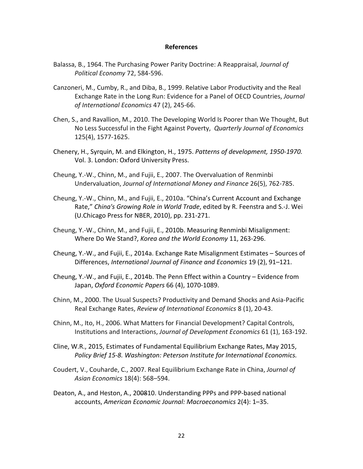#### **References**

- Balassa, B., 1964. The Purchasing Power Parity Doctrine: A Reappraisal, *Journal of Political Economy* 72, 584-596.
- Canzoneri, M., Cumby, R., and Diba, B., 1999. Relative Labor Productivity and the Real Exchange Rate in the Long Run: Evidence for a Panel of OECD Countries, *Journal of International Economics* 47 (2), 245-66.
- Chen, S., and Ravallion, M., 2010. The Developing World Is Poorer than We Thought, But No Less Successful in the Fight Against Poverty, *Quarterly Journal of Economics* 125(4), 1577-1625.
- Chenery, H., Syrquin, M. and Elkington, H., 1975. *Patterns of development, 1950-1970.* Vol. 3. London: Oxford University Press.
- Cheung, Y.-W., Chinn, M., and Fujii, E., 2007. The Overvaluation of Renminbi Undervaluation, *Journal of International Money and Finance* 26(5), 762-785.
- Cheung, Y.-W., Chinn, M., and Fujii, E., 2010a. "China's Current Account and Exchange Rate," *China's Growing Role in World Trade*, edited by R. Feenstra and S.-J. Wei (U.Chicago Press for NBER, 2010), pp. 231-271.
- Cheung, Y.-W., Chinn, M., and Fujii, E., 2010b. Measuring Renminbi Misalignment: Where Do We Stand?, *Korea and the World Economy* 11, 263-296.
- Cheung, Y.-W., and Fujii, E., 2014a. Exchange Rate Misalignment Estimates Sources of Differences, *International Journal of Finance and Economics* 19 (2), 91–121.
- Cheung, Y.-W., and Fujii, E., 2014b. The Penn Effect within a Country Evidence from Japan, *Oxford Economic Papers* 66 (4), 1070-1089.
- Chinn, M., 2000. The Usual Suspects? Productivity and Demand Shocks and Asia-Pacific Real Exchange Rates, *Review of International Economics* 8 (1), 20-43.
- Chinn, M., Ito, H., 2006. What Matters for Financial Development? Capital Controls, Institutions and Interactions, *Journal of Development Economics* 61 (1), 163-192.
- Cline, W.R., 2015, Estimates of Fundamental Equilibrium Exchange Rates, May 2015, *Policy Brief 15-8. Washington: Peterson Institute for International Economics.*
- Coudert, V., Couharde, C., 2007. Real Equilibrium Exchange Rate in China, *Journal of Asian Economics* 18(4): 568–594.
- Deaton, A., and Heston, A., 200810. Understanding PPPs and PPP-based national accounts, *American Economic Journal: Macroeconomics* 2(4): 1–35.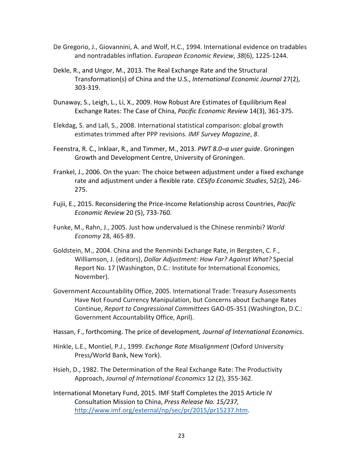- De Gregorio, J., Giovannini, A. and Wolf, H.C., 1994. International evidence on tradables and nontradables inflation. *European Economic Review*, *38*(6), 1225-1244.
- Dekle, R., and Ungor, M., 2013. The Real Exchange Rate and the Structural Transformation(s) of China and the U.S., *International Economic Journal* 27(2), 303-319.
- Dunaway, S., Leigh, L., Li, X., 2009. How Robust Are Estimates of Equilibrium Real Exchange Rates: The Case of China, *Pacific Economic Review* 14(3), 361-375.
- Elekdag, S. and Lall, S., 2008. International statistical comparison: global growth estimates trimmed after PPP revisions. *IMF Survey Magazine*, *8*.
- Feenstra, R. C., Inklaar, R., and Timmer, M., 2013. *PWT 8.0–a user guide*. Groningen Growth and Development Centre, University of Groningen.
- Frankel, J., 2006. On the yuan: The choice between adjustment under a fixed exchange rate and adjustment under a flexible rate*. CESifo Economic Studies*, 52(2), 246- 275.
- Fujii, E., 2015. Reconsidering the Price-Income Relationship across Countries, *Pacific Economic Review* 20 (5), 733-760.
- Funke, M., Rahn, J., 2005. Just how undervalued is the Chinese renminbi? *World Economy* 28, 465-89.
- Goldstein, M., 2004. China and the Renminbi Exchange Rate, in Bergsten, C. F., Williamson, J. (editors), *Dollar Adjustment: How Far? Against What?* Special Report No. 17 (Washington, D.C.: Institute for International Economics, November).
- Government Accountability Office, 2005. International Trade: Treasury Assessments Have Not Found Currency Manipulation, but Concerns about Exchange Rates Continue, *Report to Congressional Committees* GAO-05-351 (Washington, D.C.: Government Accountability Office, April).
- Hassan, F., forthcoming. The price of development*, Journal of International Economics*.
- Hinkle, L.E., Montiel, P.J., 1999. *Exchange Rate Misalignment* (Oxford University Press/World Bank, New York).
- Hsieh, D., 1982. The Determination of the Real Exchange Rate: The Productivity Approach, *Journal of International Economics* 12 (2), 355-362.
- International Monetary Fund, 2015. IMF Staff Completes the 2015 Article IV Consultation Mission to China, *Press Release No. 15/237,* [http://www.imf.org/external/np/sec/pr/2015/pr15237.htm.](http://www.imf.org/external/np/sec/pr/2015/pr15237.htm)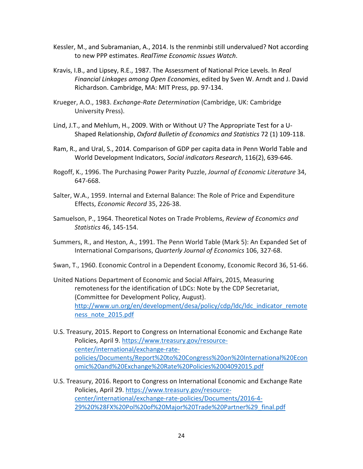- Kessler, M., and Subramanian, A., 2014. Is the renminbi still undervalued? Not according to new PPP estimates. *RealTime Economic Issues Watch*.
- Kravis, I.B., and Lipsey, R.E., 1987. The Assessment of National Price Levels. In *Real Financial Linkages among Open Economies*, edited by Sven W. Arndt and J. David Richardson. Cambridge, MA: MIT Press, pp. 97-134.
- Krueger, A.O., 1983. *Exchange-Rate Determination* (Cambridge, UK: Cambridge University Press).
- Lind, J.T., and Mehlum, H., 2009. With or Without U? The Appropriate Test for a U-Shaped Relationship, *Oxford Bulletin of Economics and Statistics* 72 (1) 109-118.
- Ram, R., and Ural, S., 2014. Comparison of GDP per capita data in Penn World Table and World Development Indicators, *Social indicators Research*, 116(2), 639-646.
- Rogoff, K., 1996. The Purchasing Power Parity Puzzle, *Journal of Economic Literature* 34, 647-668.
- Salter, W.A., 1959. Internal and External Balance: The Role of Price and Expenditure Effects, *Economic Record* 35, 226-38.
- Samuelson, P., 1964. Theoretical Notes on Trade Problems, *Review of Economics and Statistics* 46, 145-154.
- Summers, R., and Heston, A., 1991. The Penn World Table (Mark 5): An Expanded Set of International Comparisons, *Quarterly Journal of Economics* 106, 327-68.
- Swan, T., 1960. Economic Control in a Dependent Economy, Economic Record 36, 51-66.
- United Nations Department of Economic and Social Affairs, 2015, Measuring remoteness for the identification of LDCs: Note by the CDP Secretariat, (Committee for Development Policy, August). [http://www.un.org/en/development/desa/policy/cdp/ldc/ldc\\_indicator\\_remote](http://www.un.org/en/development/desa/policy/cdp/ldc/ldc_indicator_remoteness_note_2015.pdf) [ness\\_note\\_2015.pdf](http://www.un.org/en/development/desa/policy/cdp/ldc/ldc_indicator_remoteness_note_2015.pdf)
- U.S. Treasury, 2015. Report to Congress on International Economic and Exchange Rate Policies, April 9[. https://www.treasury.gov/resource](https://www.treasury.gov/resource-center/international/exchange-rate-policies/Documents/Report%20to%20Congress%20on%20International%20Economic%20and%20Exchange%20Rate%20Policies%2004092015.pdf)[center/international/exchange-rate](https://www.treasury.gov/resource-center/international/exchange-rate-policies/Documents/Report%20to%20Congress%20on%20International%20Economic%20and%20Exchange%20Rate%20Policies%2004092015.pdf)[policies/Documents/Report%20to%20Congress%20on%20International%20Econ](https://www.treasury.gov/resource-center/international/exchange-rate-policies/Documents/Report%20to%20Congress%20on%20International%20Economic%20and%20Exchange%20Rate%20Policies%2004092015.pdf) [omic%20and%20Exchange%20Rate%20Policies%2004092015.pdf](https://www.treasury.gov/resource-center/international/exchange-rate-policies/Documents/Report%20to%20Congress%20on%20International%20Economic%20and%20Exchange%20Rate%20Policies%2004092015.pdf)
- U.S. Treasury, 2016. Report to Congress on International Economic and Exchange Rate Policies, April 29. [https://www.treasury.gov/resource](https://www.treasury.gov/resource-center/international/exchange-rate-policies/Documents/2016-4-29%20%28FX%20Pol%20of%20Major%20Trade%20Partner%29_final.pdf)[center/international/exchange-rate-policies/Documents/2016-4-](https://www.treasury.gov/resource-center/international/exchange-rate-policies/Documents/2016-4-29%20%28FX%20Pol%20of%20Major%20Trade%20Partner%29_final.pdf) [29%20%28FX%20Pol%20of%20Major%20Trade%20Partner%29\\_final.pdf](https://www.treasury.gov/resource-center/international/exchange-rate-policies/Documents/2016-4-29%20%28FX%20Pol%20of%20Major%20Trade%20Partner%29_final.pdf)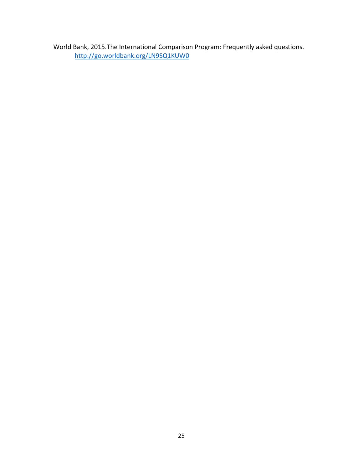World Bank, 2015.The International Comparison Program: Frequently asked questions. <http://go.worldbank.org/LN9SQ1KUW0>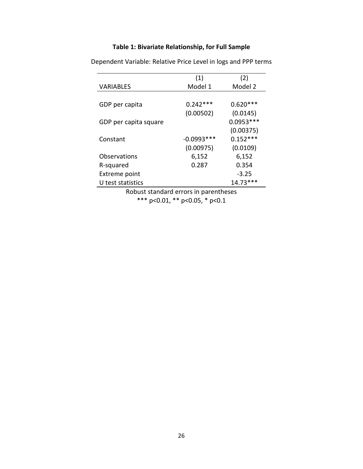# **Table 1: Bivariate Relationship, for Full Sample**

|                       | (1)          | (2)         |
|-----------------------|--------------|-------------|
| <b>VARIABLES</b>      | Model 1      | Model 2     |
|                       |              |             |
| GDP per capita        | $0.242***$   | $0.620***$  |
|                       | (0.00502)    | (0.0145)    |
| GDP per capita square |              | $0.0953***$ |
|                       |              | (0.00375)   |
| Constant              | $-0.0993***$ | $0.152***$  |
|                       | (0.00975)    | (0.0109)    |
| Observations          | 6,152        | 6,152       |
| R-squared             | 0.287        | 0.354       |
| <b>Extreme point</b>  |              | $-3.25$     |
| U test statistics     |              | $14.73***$  |
|                       |              |             |

Dependent Variable: Relative Price Level in logs and PPP terms

Robust standard errors in parentheses \*\*\* p<0.01, \*\* p<0.05, \* p<0.1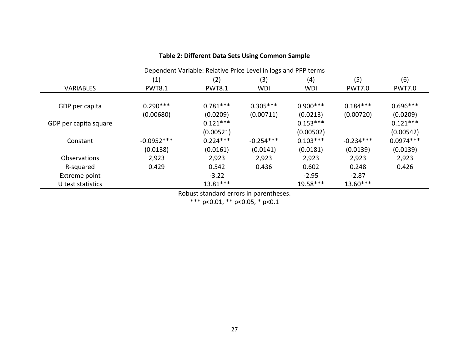| Dependent Variable: Relative Price Level in logs and PPP terms |               |               |             |            |               |               |  |  |
|----------------------------------------------------------------|---------------|---------------|-------------|------------|---------------|---------------|--|--|
|                                                                | (1)           | (2)           | (3)         | (4)        | (5)           | (6)           |  |  |
| <b>VARIABLES</b>                                               | <b>PWT8.1</b> | <b>PWT8.1</b> | <b>WDI</b>  | <b>WDI</b> | <b>PWT7.0</b> | <b>PWT7.0</b> |  |  |
|                                                                |               |               |             |            |               |               |  |  |
| GDP per capita                                                 | $0.290***$    | $0.781***$    | $0.305***$  | $0.900***$ | $0.184***$    | $0.696***$    |  |  |
|                                                                | (0.00680)     | (0.0209)      | (0.00711)   | (0.0213)   | (0.00720)     | (0.0209)      |  |  |
| GDP per capita square                                          |               | $0.121***$    |             | $0.153***$ |               | $0.121***$    |  |  |
|                                                                |               | (0.00521)     |             | (0.00502)  |               | (0.00542)     |  |  |
| Constant                                                       | $-0.0952***$  | $0.224***$    | $-0.254***$ | $0.103***$ | $-0.234***$   | $0.0974***$   |  |  |
|                                                                | (0.0138)      | (0.0161)      | (0.0141)    | (0.0181)   | (0.0139)      | (0.0139)      |  |  |
| Observations                                                   | 2,923         | 2,923         | 2,923       | 2,923      | 2,923         | 2,923         |  |  |
| R-squared                                                      | 0.429         | 0.542         | 0.436       | 0.602      | 0.248         | 0.426         |  |  |
| Extreme point                                                  |               | $-3.22$       |             | $-2.95$    | $-2.87$       |               |  |  |
| U test statistics                                              |               | 13.81***      |             | 19.58***   | $13.60***$    |               |  |  |

# **Table 2: Different Data Sets Using Common Sample**

Robust standard errors in parentheses.

\*\*\* p<0.01, \*\* p<0.05, \* p<0.1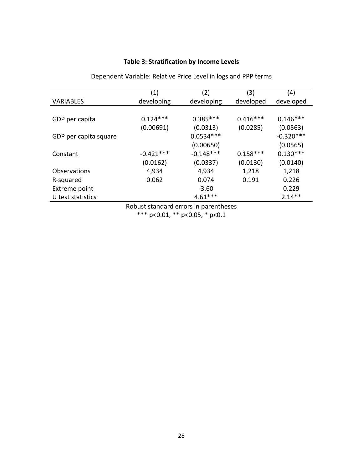#### **Table 3: Stratification by Income Levels**

 $(1)$   $(2)$   $(3)$   $(4)$ VARIABLES developing developing developed developed GDP per capita  $0.124***$   $0.385***$   $0.416***$   $0.146***$ (0.00691) (0.0313) (0.0285) (0.0563) GDP per capita square  $0.0534***$  -0.320\*\*\* (0.00650) (0.0565) Constant -0.421\*\*\* -0.148\*\*\* 0.158\*\*\* 0.130\*\*\* (0.0162) (0.0337) (0.0130) (0.0140) Observations 4,934 4,934 1,218 1,218 R-squared 0.062 0.074 0.191 0.226 Extreme point 1.0 and 5.60 and 5.60 and 5.60 and 5.14 and 5.14 and 5.14 and 5.14 and 5.14 and 5.14 and 5.14 and 5.14 and 5.14 and 5.14 and 5.14 and 5.14 and 5.14 and 5.14 and 5.14 and 5.14 and 5.14 and 5.14 and 5.14 and 5. U test statistics  $4.61***$  2.14<sup>\*\*</sup>

Dependent Variable: Relative Price Level in logs and PPP terms

Robust standard errors in parentheses \*\*\* p<0.01, \*\* p<0.05, \* p<0.1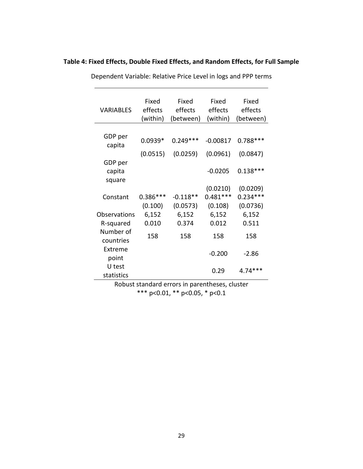| <b>VARIABLES</b>            | Fixed<br>effects<br>(within) | Fixed<br>effects<br>(between) | Fixed<br>effects<br>(within) | Fixed<br>effects<br>(between) |
|-----------------------------|------------------------------|-------------------------------|------------------------------|-------------------------------|
| GDP per<br>capita           | $0.0939*$                    | $0.249***$                    | $-0.00817$                   | $0.788***$                    |
|                             | (0.0515)                     | (0.0259)                      | (0.0961)                     | (0.0847)                      |
| GDP per<br>capita<br>square |                              |                               | $-0.0205$                    | $0.138***$                    |
|                             |                              |                               | (0.0210)                     | (0.0209)                      |
| Constant                    | $0.386***$                   | $-0.118**$                    | $0.481***$                   | $0.234***$                    |
|                             | (0.100)                      | (0.0573)                      | (0.108)                      | (0.0736)                      |
| Observations                | 6,152                        | 6,152                         | 6,152                        | 6,152                         |
| R-squared                   | 0.010                        | 0.374                         | 0.012                        | 0.511                         |
| Number of<br>countries      | 158                          | 158                           | 158                          | 158                           |
| Extreme<br>point            |                              |                               | $-0.200$                     | $-2.86$                       |
| U test<br>statistics        |                              |                               | 0.29                         | $4.74***$                     |
|                             |                              |                               |                              |                               |

## **Table 4: Fixed Effects, Double Fixed Effects, and Random Effects, for Full Sample**

Dependent Variable: Relative Price Level in logs and PPP terms

Robust standard errors in parentheses, cluster \*\*\* p<0.01, \*\* p<0.05, \* p<0.1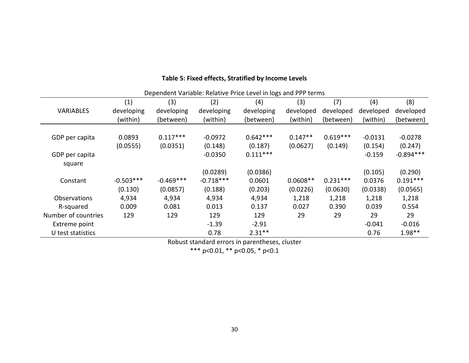|                     |             |             |             | <b>Dependent variable, heldtive i nee Lever in 1053 and i i i terms</b> |            |            |           |             |
|---------------------|-------------|-------------|-------------|-------------------------------------------------------------------------|------------|------------|-----------|-------------|
|                     | (1)         | (3)         | (2)         | (4)                                                                     | (3)        | (7)        | (4)       | (8)         |
| <b>VARIABLES</b>    | developing  | developing  | developing  | developing                                                              | developed  | developed  | developed | developed   |
|                     | (within)    | (between)   | (within)    | (between)                                                               | (within)   | (between)  | (within)  | (between)   |
|                     |             |             |             |                                                                         |            |            |           |             |
| GDP per capita      | 0.0893      | $0.117***$  | $-0.0972$   | $0.642***$                                                              | $0.147**$  | $0.619***$ | $-0.0131$ | $-0.0278$   |
|                     | (0.0555)    | (0.0351)    | (0.148)     | (0.187)                                                                 | (0.0627)   | (0.149)    | (0.154)   | (0.247)     |
| GDP per capita      |             |             | $-0.0350$   | $0.111***$                                                              |            |            | $-0.159$  | $-0.894***$ |
| square              |             |             |             |                                                                         |            |            |           |             |
|                     |             |             | (0.0289)    | (0.0386)                                                                |            |            | (0.105)   | (0.290)     |
| Constant            | $-0.503***$ | $-0.469***$ | $-0.718***$ | 0.0601                                                                  | $0.0608**$ | $0.231***$ | 0.0376    | $0.191***$  |
|                     | (0.130)     | (0.0857)    | (0.188)     | (0.203)                                                                 | (0.0226)   | (0.0630)   | (0.0338)  | (0.0565)    |
| Observations        | 4,934       | 4,934       | 4,934       | 4,934                                                                   | 1,218      | 1,218      | 1,218     | 1,218       |
| R-squared           | 0.009       | 0.081       | 0.013       | 0.137                                                                   | 0.027      | 0.390      | 0.039     | 0.554       |
| Number of countries | 129         | 129         | 129         | 129                                                                     | 29         | 29         | 29        | 29          |
| Extreme point       |             |             | $-1.39$     | $-2.91$                                                                 |            |            | $-0.041$  | $-0.016$    |
| U test statistics   |             |             | 0.78        | $2.31***$                                                               |            |            | 0.76      | $1.98**$    |

# **Table 5: Fixed effects, Stratified by Income Levels**

Dependent Variable: Relative Price Level in logs and PPP terms

Robust standard errors in parentheses, cluster

\*\*\* p<0.01, \*\* p<0.05, \* p<0.1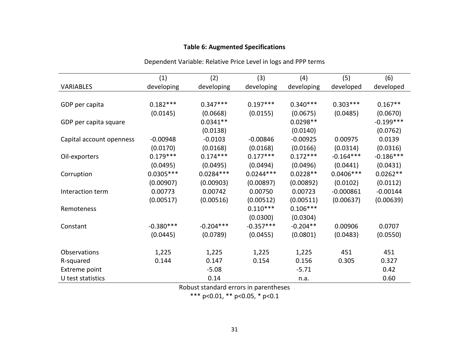# **Table 6: Augmented Specifications**

|                          | (1)         | (2)         | (3)         | (4)        | (5)         | (6)         |
|--------------------------|-------------|-------------|-------------|------------|-------------|-------------|
| <b>VARIABLES</b>         | developing  | developing  | developing  | developing | developed   | developed   |
|                          |             |             |             |            |             |             |
| GDP per capita           | $0.182***$  | $0.347***$  | $0.197***$  | $0.340***$ | $0.303***$  | $0.167**$   |
|                          | (0.0145)    | (0.0668)    | (0.0155)    | (0.0675)   | (0.0485)    | (0.0670)    |
| GDP per capita square    |             | $0.0341**$  |             | $0.0298**$ |             | $-0.199***$ |
|                          |             | (0.0138)    |             | (0.0140)   |             | (0.0762)    |
| Capital account openness | $-0.00948$  | $-0.0103$   | $-0.00846$  | $-0.00925$ | 0.00975     | 0.0139      |
|                          | (0.0170)    | (0.0168)    | (0.0168)    | (0.0166)   | (0.0314)    | (0.0316)    |
| Oil-exporters            | $0.179***$  | $0.174***$  | $0.177***$  | $0.172***$ | $-0.164***$ | $-0.186***$ |
|                          | (0.0495)    | (0.0495)    | (0.0494)    | (0.0496)   | (0.0441)    | (0.0431)    |
| Corruption               | $0.0305***$ | $0.0284***$ | $0.0244***$ | $0.0228**$ | $0.0406***$ | $0.0262**$  |
|                          | (0.00907)   | (0.00903)   | (0.00897)   | (0.00892)  | (0.0102)    | (0.0112)    |
| Interaction term         | 0.00773     | 0.00742     | 0.00750     | 0.00723    | $-0.000861$ | $-0.00144$  |
|                          | (0.00517)   | (0.00516)   | (0.00512)   | (0.00511)  | (0.00637)   | (0.00639)   |
| Remoteness               |             |             | $0.110***$  | $0.106***$ |             |             |
|                          |             |             | (0.0300)    | (0.0304)   |             |             |
| Constant                 | $-0.380***$ | $-0.204***$ | $-0.357***$ | $-0.204**$ | 0.00906     | 0.0707      |
|                          | (0.0445)    | (0.0789)    | (0.0455)    | (0.0801)   | (0.0483)    | (0.0550)    |
|                          |             |             |             |            |             |             |
| Observations             | 1,225       | 1,225       | 1,225       | 1,225      | 451         | 451         |
| R-squared                | 0.144       | 0.147       | 0.154       | 0.156      | 0.305       | 0.327       |
| <b>Extreme point</b>     |             | $-5.08$     |             | $-5.71$    |             | 0.42        |
| U test statistics        |             | 0.14        |             | n.a.       |             | 0.60        |

Dependent Variable: Relative Price Level in logs and PPP terms

Robust standard errors in parentheses

\*\*\* p<0.01, \*\* p<0.05, \* p<0.1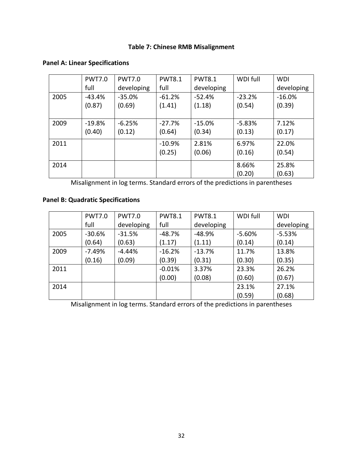# **Table 7: Chinese RMB Misalignment**

|      | <b>PWT7.0</b> | <b>PWT7.0</b> | <b>PWT8.1</b> | <b>PWT8.1</b> | WDI full | <b>WDI</b> |
|------|---------------|---------------|---------------|---------------|----------|------------|
|      | full          | developing    | full          | developing    |          | developing |
| 2005 | -43.4%        | $-35.0%$      | $-61.2%$      | $-52.4%$      | $-23.2%$ | $-16.0%$   |
|      | (0.87)        | (0.69)        | (1.41)        | (1.18)        | (0.54)   | (0.39)     |
|      |               |               |               |               |          |            |
| 2009 | $-19.8%$      | $-6.25%$      | $-27.7%$      | $-15.0%$      | $-5.83%$ | 7.12%      |
|      | (0.40)        | (0.12)        | (0.64)        | (0.34)        | (0.13)   | (0.17)     |
| 2011 |               |               | $-10.9%$      | 2.81%         | 6.97%    | 22.0%      |
|      |               |               | (0.25)        | (0.06)        | (0.16)   | (0.54)     |
| 2014 |               |               |               |               | 8.66%    | 25.8%      |
|      |               |               |               |               | (0.20)   | (0.63)     |

# **Panel A: Linear Specifications**

Misalignment in log terms. Standard errors of the predictions in parentheses

# **Panel B: Quadratic Specifications**

|      | <b>PWT7.0</b> | <b>PWT7.0</b> | <b>PWT8.1</b> | <b>PWT8.1</b> | WDI full | <b>WDI</b> |
|------|---------------|---------------|---------------|---------------|----------|------------|
|      | full          | developing    | full          | developing    |          | developing |
| 2005 | $-30.6%$      | $-31.5%$      | $-48.7%$      | $-48.9%$      | $-5.60%$ | $-5.53%$   |
|      | (0.64)        | (0.63)        | (1.17)        | (1.11)        | (0.14)   | (0.14)     |
| 2009 | $-7.49%$      | $-4.44%$      | $-16.2%$      | $-13.7%$      | 11.7%    | 13.8%      |
|      | (0.16)        | (0.09)        | (0.39)        | (0.31)        | (0.30)   | (0.35)     |
| 2011 |               |               | $-0.01%$      | 3.37%         | 23.3%    | 26.2%      |
|      |               |               | (0.00)        | (0.08)        | (0.60)   | (0.67)     |
| 2014 |               |               |               |               | 23.1%    | 27.1%      |
|      |               |               |               |               | (0.59)   | (0.68)     |

Misalignment in log terms. Standard errors of the predictions in parentheses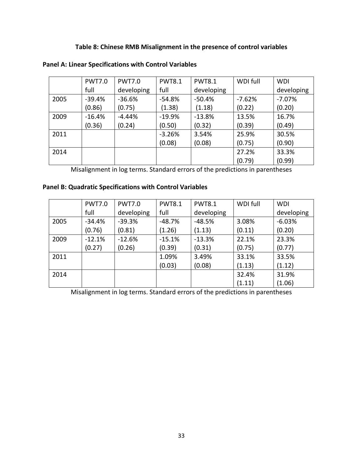## **Table 8: Chinese RMB Misalignment in the presence of control variables**

|      | <b>PWT7.0</b> | <b>PWT7.0</b> | <b>PWT8.1</b> | <b>PWT8.1</b> | WDI full | <b>WDI</b> |
|------|---------------|---------------|---------------|---------------|----------|------------|
|      | full          | developing    | full          | developing    |          | developing |
| 2005 | $-39.4%$      | $-36.6%$      | $-54.8%$      | $-50.4%$      | $-7.62%$ | $-7.07%$   |
|      | (0.86)        | (0.75)        | (1.38)        | (1.18)        | (0.22)   | (0.20)     |
| 2009 | $-16.4%$      | $-4.44%$      | $-19.9%$      | $-13.8%$      | 13.5%    | 16.7%      |
|      | (0.36)        | (0.24)        | (0.50)        | (0.32)        | (0.39)   | (0.49)     |
| 2011 |               |               | $-3.26%$      | 3.54%         | 25.9%    | 30.5%      |
|      |               |               | (0.08)        | (0.08)        | (0.75)   | (0.90)     |
| 2014 |               |               |               |               | 27.2%    | 33.3%      |
|      |               |               |               |               | (0.79)   | (0.99)     |

## **Panel A: Linear Specifications with Control Variables**

Misalignment in log terms. Standard errors of the predictions in parentheses

# **Panel B: Quadratic Specifications with Control Variables**

|      | <b>PWT7.0</b> | <b>PWT7.0</b> | <b>PWT8.1</b> | <b>PWT8.1</b> | WDI full | <b>WDI</b> |
|------|---------------|---------------|---------------|---------------|----------|------------|
|      | full          | developing    | full          | developing    |          | developing |
| 2005 | $-34.4%$      | $-39.3%$      | $-48.7%$      | $-48.5%$      | 3.08%    | $-6.03%$   |
|      | (0.76)        | (0.81)        | (1.26)        | (1.13)        | (0.11)   | (0.20)     |
| 2009 | $-12.1%$      | $-12.6%$      | $-15.1%$      | $-13.3%$      | 22.1%    | 23.3%      |
|      | (0.27)        | (0.26)        | (0.39)        | (0.31)        | (0.75)   | (0.77)     |
| 2011 |               |               | 1.09%         | 3.49%         | 33.1%    | 33.5%      |
|      |               |               | (0.03)        | (0.08)        | (1.13)   | (1.12)     |
| 2014 |               |               |               |               | 32.4%    | 31.9%      |
|      |               |               |               |               | (1.11)   | (1.06)     |

Misalignment in log terms. Standard errors of the predictions in parentheses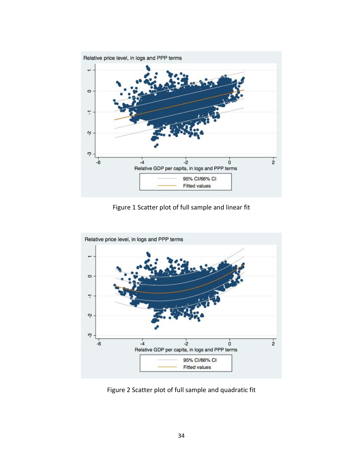

Figure 1 Scatter plot of full sample and linear fit



Figure 2 Scatter plot of full sample and quadratic fit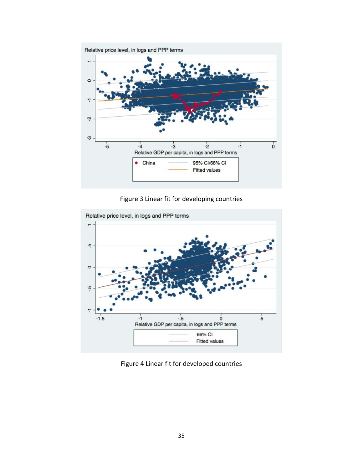

Figure 3 Linear fit for developing countries



Figure 4 Linear fit for developed countries